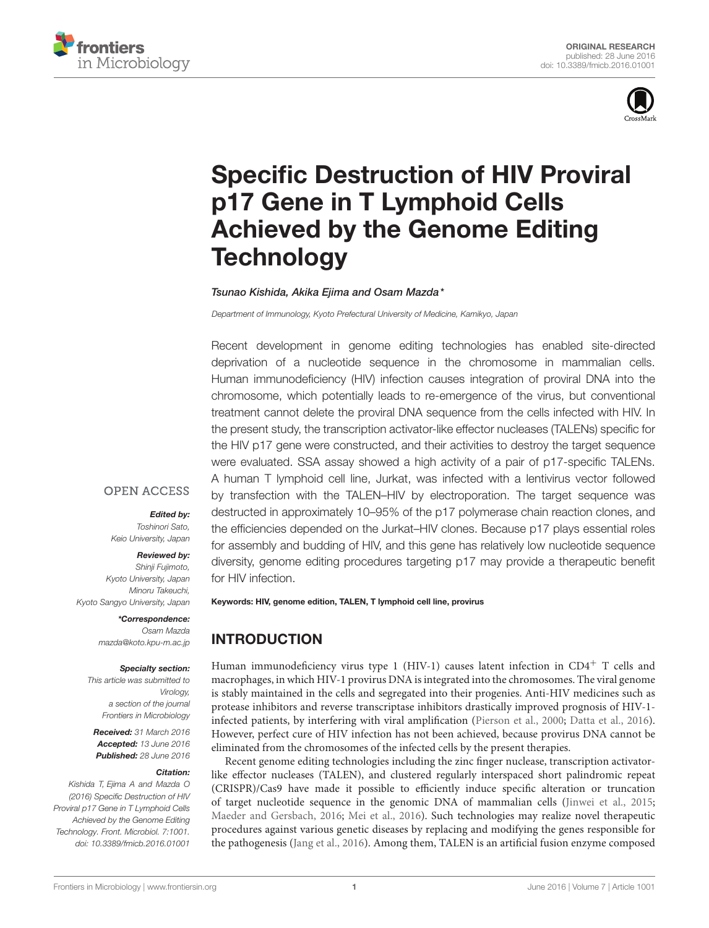



# [Specific Destruction of HIV Proviral](http://journal.frontiersin.org/article/10.3389/fmicb.2016.01001/abstract) p17 Gene in T Lymphoid Cells Achieved by the Genome Editing **Technology**

### [Tsunao Kishida,](http://loop.frontiersin.org/people/356477/overview) Akika Eiima and [Osam Mazda](http://loop.frontiersin.org/people/338199/overview)\*

Department of Immunology, Kyoto Prefectural University of Medicine, Kamikyo, Japan

Recent development in genome editing technologies has enabled site-directed deprivation of a nucleotide sequence in the chromosome in mammalian cells. Human immunodeficiency (HIV) infection causes integration of proviral DNA into the chromosome, which potentially leads to re-emergence of the virus, but conventional treatment cannot delete the proviral DNA sequence from the cells infected with HIV. In the present study, the transcription activator-like effector nucleases (TALENs) specific for the HIV p17 gene were constructed, and their activities to destroy the target sequence were evaluated. SSA assay showed a high activity of a pair of p17-specific TALENs. A human T lymphoid cell line, Jurkat, was infected with a lentivirus vector followed by transfection with the TALEN–HIV by electroporation. The target sequence was destructed in approximately 10–95% of the p17 polymerase chain reaction clones, and the efficiencies depended on the Jurkat–HIV clones. Because p17 plays essential roles for assembly and budding of HIV, and this gene has relatively low nucleotide sequence diversity, genome editing procedures targeting p17 may provide a therapeutic benefit for HIV infection.

#### Keywords: HIV, genome edition, TALEN, T lymphoid cell line, provirus

# INTRODUCTION

Human immunodeficiency virus type 1 (HIV-1) causes latent infection in  $CD4^+$  T cells and macrophages, in which HIV-1 provirus DNA is integrated into the chromosomes. The viral genome is stably maintained in the cells and segregated into their progenies. Anti-HIV medicines such as protease inhibitors and reverse transcriptase inhibitors drastically improved prognosis of HIV-1 infected patients, by interfering with viral amplification [\(Pierson et al., 2000;](#page-4-0) [Datta et al., 2016\)](#page-4-1). However, perfect cure of HIV infection has not been achieved, because provirus DNA cannot be eliminated from the chromosomes of the infected cells by the present therapies.

Recent genome editing technologies including the zinc finger nuclease, transcription activatorlike effector nucleases (TALEN), and clustered regularly interspaced short palindromic repeat (CRISPR)/Cas9 have made it possible to efficiently induce specific alteration or truncation of target nucleotide sequence in the genomic DNA of mammalian cells [\(Jinwei et al., 2015;](#page-4-2) [Maeder and Gersbach, 2016;](#page-4-3) [Mei et al., 2016\)](#page-4-4). Such technologies may realize novel therapeutic procedures against various genetic diseases by replacing and modifying the genes responsible for the pathogenesis [\(Jang et al., 2016\)](#page-4-5). Among them, TALEN is an artificial fusion enzyme composed

**OPEN ACCESS** 

## Edited by:

Toshinori Sato, Keio University, Japan

Reviewed by: Shinji Fujimoto, Kyoto University, Japan

Minoru Takeuchi, Kyoto Sangyo University, Japan

> \*Correspondence: Osam Mazda mazda@koto.kpu-m.ac.jp

#### Specialty section:

This article was submitted to Virology, a section of the journal Frontiers in Microbiology

Received: 31 March 2016 Accepted: 13 June 2016 Published: 28 June 2016

#### Citation:

Kishida T, Ejima A and Mazda O (2016) Specific Destruction of HIV Proviral p17 Gene in T Lymphoid Cells Achieved by the Genome Editing Technology. Front. Microbiol. 7:1001. doi: [10.3389/fmicb.2016.01001](http://dx.doi.org/10.3389/fmicb.2016.01001)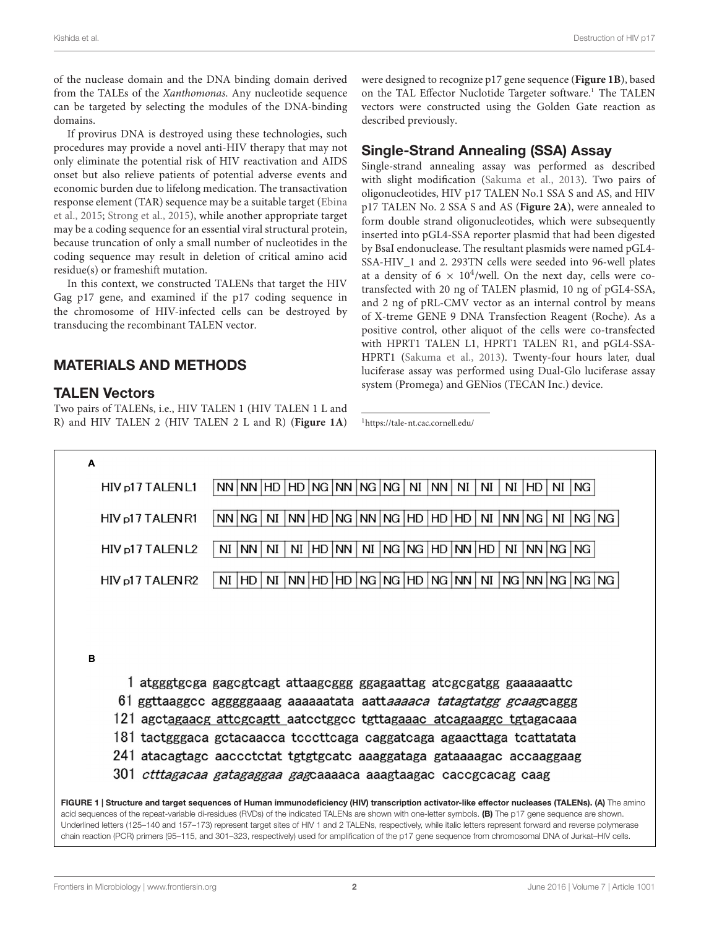of the nuclease domain and the DNA binding domain derived from the TALEs of the Xanthomonas. Any nucleotide sequence can be targeted by selecting the modules of the DNA-binding domains.

If provirus DNA is destroyed using these technologies, such procedures may provide a novel anti-HIV therapy that may not only eliminate the potential risk of HIV reactivation and AIDS onset but also relieve patients of potential adverse events and economic burden due to lifelong medication. The transactivation response element (TAR) sequence may be a suitable target [\(Ebina](#page-4-6) [et al.,](#page-4-6) [2015;](#page-4-6) [Strong et al.,](#page-4-7) [2015\)](#page-4-7), while another appropriate target may be a coding sequence for an essential viral structural protein, because truncation of only a small number of nucleotides in the coding sequence may result in deletion of critical amino acid residue(s) or frameshift mutation.

In this context, we constructed TALENs that target the HIV Gag p17 gene, and examined if the p17 coding sequence in the chromosome of HIV-infected cells can be destroyed by transducing the recombinant TALEN vector.

# MATERIALS AND METHODS

## TALEN Vectors

Two pairs of TALENs, i.e., HIV TALEN 1 (HIV TALEN 1 L and R) and HIV TALEN 2 (HIV TALEN 2 L and R) (**[Figure 1A](#page-1-0)**) were designed to recognize p17 gene sequence (**[Figure 1B](#page-1-0)**), based on the TAL Effector Nuclotide Targeter software.<sup>[1](#page-1-1)</sup> The TALEN vectors were constructed using the Golden Gate reaction as described previously.

## Single-Strand Annealing (SSA) Assay

Single-strand annealing assay was performed as described with slight modification [\(Sakuma et al.,](#page-4-8) [2013\)](#page-4-8). Two pairs of oligonucleotides, HIV p17 TALEN No.1 SSA S and AS, and HIV p17 TALEN No. 2 SSA S and AS (**[Figure 2A](#page-2-0)**), were annealed to form double strand oligonucleotides, which were subsequently inserted into pGL4-SSA reporter plasmid that had been digested by BsaI endonuclease. The resultant plasmids were named pGL4- SSA-HIV\_1 and 2. 293TN cells were seeded into 96-well plates at a density of  $6 \times 10^4$ /well. On the next day, cells were cotransfected with 20 ng of TALEN plasmid, 10 ng of pGL4-SSA, and 2 ng of pRL-CMV vector as an internal control by means of X-treme GENE 9 DNA Transfection Reagent (Roche). As a positive control, other aliquot of the cells were co-transfected with HPRT1 TALEN L1, HPRT1 TALEN R1, and pGL4-SSA-HPRT1 [\(Sakuma et al.,](#page-4-8) [2013\)](#page-4-8). Twenty-four hours later, dual luciferase assay was performed using Dual-Glo luciferase assay system (Promega) and GENios (TECAN Inc.) device.

<span id="page-1-1"></span><sup>1</sup><https://tale-nt.cac.cornell.edu/>

<span id="page-1-0"></span>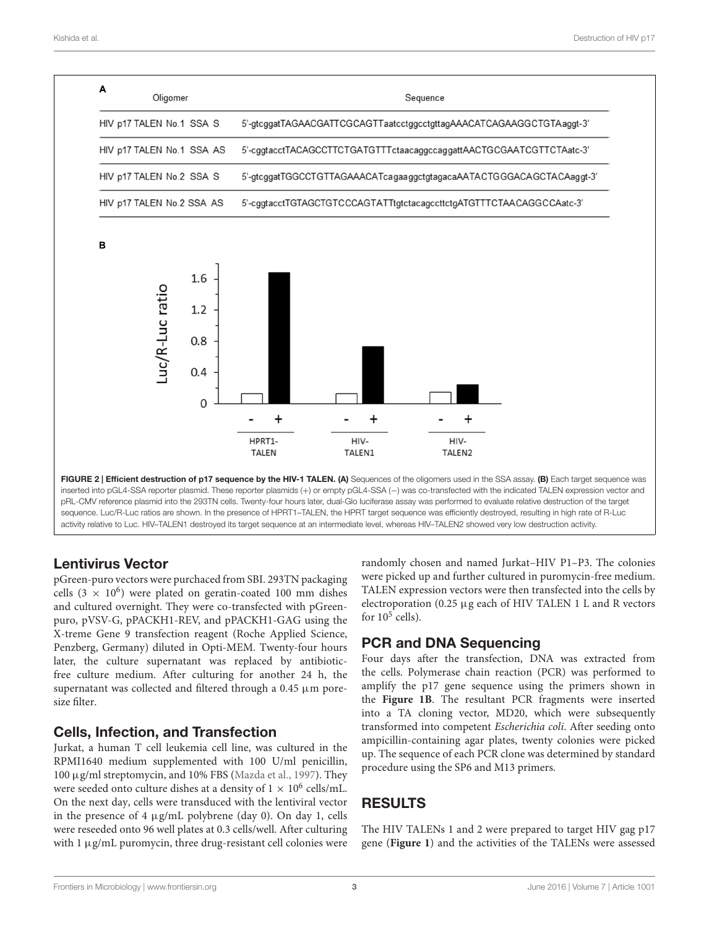

<span id="page-2-0"></span>Lentivirus Vector

pGreen-puro vectors were purchaced from SBI. 293TN packaging cells (3  $\times$  10<sup>6</sup>) were plated on geratin-coated 100 mm dishes and cultured overnight. They were co-transfected with pGreenpuro, pVSV-G, pPACKH1-REV, and pPACKH1-GAG using the X-treme Gene 9 transfection reagent (Roche Applied Science, Penzberg, Germany) diluted in Opti-MEM. Twenty-four hours later, the culture supernatant was replaced by antibioticfree culture medium. After culturing for another 24 h, the supernatant was collected and filtered through a  $0.45 \mu m$  poresize filter.

## Cells, Infection, and Transfection

Jurkat, a human T cell leukemia cell line, was cultured in the RPMI1640 medium supplemented with 100 U/ml penicillin, 100 µg/ml streptomycin, and 10% FBS [\(Mazda et al.,](#page-4-9) [1997\)](#page-4-9). They were seeded onto culture dishes at a density of  $1 \times 10^6$  cells/mL. On the next day, cells were transduced with the lentiviral vector in the presence of 4  $\mu$ g/mL polybrene (day 0). On day 1, cells were reseeded onto 96 well plates at 0.3 cells/well. After culturing with 1 μg/mL puromycin, three drug-resistant cell colonies were randomly chosen and named Jurkat–HIV P1–P3. The colonies were picked up and further cultured in puromycin-free medium. TALEN expression vectors were then transfected into the cells by electroporation (0.25  $\mu$ g each of HIV TALEN 1 L and R vectors for  $10^5$  cells).

# PCR and DNA Sequencing

Four days after the transfection, DNA was extracted from the cells. Polymerase chain reaction (PCR) was performed to amplify the p17 gene sequence using the primers shown in the **[Figure 1B](#page-1-0)**. The resultant PCR fragments were inserted into a TA cloning vector, MD20, which were subsequently transformed into competent Escherichia coli. After seeding onto ampicillin-containing agar plates, twenty colonies were picked up. The sequence of each PCR clone was determined by standard procedure using the SP6 and M13 primers.

# RESULTS

The HIV TALENs 1 and 2 were prepared to target HIV gag p17 gene (**[Figure 1](#page-1-0)**) and the activities of the TALENs were assessed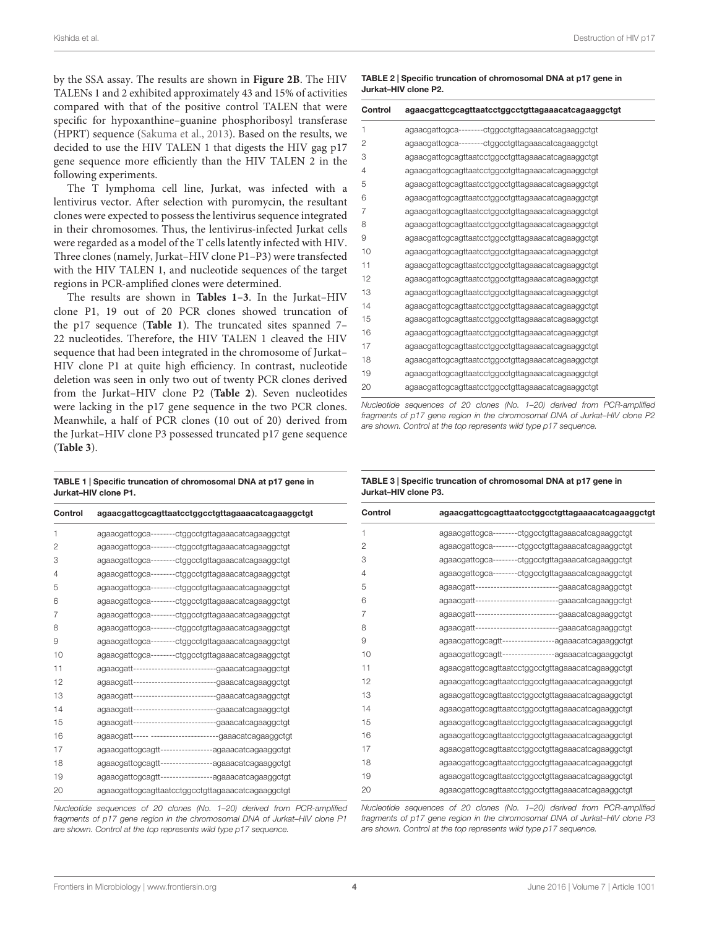by the SSA assay. The results are shown in **[Figure 2B](#page-2-0)**. The HIV TALENs 1 and 2 exhibited approximately 43 and 15% of activities compared with that of the positive control TALEN that were specific for hypoxanthine–guanine phosphoribosyl transferase (HPRT) sequence [\(Sakuma et al.,](#page-4-8) [2013\)](#page-4-8). Based on the results, we decided to use the HIV TALEN 1 that digests the HIV gag p17 gene sequence more efficiently than the HIV TALEN 2 in the following experiments.

The T lymphoma cell line, Jurkat, was infected with a lentivirus vector. After selection with puromycin, the resultant clones were expected to possess the lentivirus sequence integrated in their chromosomes. Thus, the lentivirus-infected Jurkat cells were regarded as a model of the T cells latently infected with HIV. Three clones (namely, Jurkat–HIV clone P1–P3) were transfected with the HIV TALEN 1, and nucleotide sequences of the target regions in PCR-amplified clones were determined.

The results are shown in **[Tables 1–3](#page-3-0)**. In the Jurkat–HIV clone P1, 19 out of 20 PCR clones showed truncation of the p17 sequence (**[Table 1](#page-3-0)**). The truncated sites spanned 7– 22 nucleotides. Therefore, the HIV TALEN 1 cleaved the HIV sequence that had been integrated in the chromosome of Jurkat– HIV clone P1 at quite high efficiency. In contrast, nucleotide deletion was seen in only two out of twenty PCR clones derived from the Jurkat–HIV clone P2 (**[Table 2](#page-3-1)**). Seven nucleotides were lacking in the p17 gene sequence in the two PCR clones. Meanwhile, a half of PCR clones (10 out of 20) derived from the Jurkat–HIV clone P3 possessed truncated p17 gene sequence (**[Table 3](#page-3-2)**).

<span id="page-3-0"></span>TABLE 1 | Specific truncation of chromosomal DNA at p17 gene in Jurkat–HIV clone P1.

| Control | agaacgattcgcagttaatcctggcctgttagaaacatcagaaggctgt        | Contr          |
|---------|----------------------------------------------------------|----------------|
| 1       | agaacgattcgca--------ctggcctgttagaaacatcagaaggctgt       | 1              |
| 2       | agaacgattcgca--------ctggcctgttagaaacatcagaaggctgt       | $\overline{2}$ |
| 3       | agaacgattcgca--------ctggcctgttagaaacatcagaaggctgt       | 3              |
| 4       | agaacgattcgca--------ctggcctgttagaaacatcagaaggctgt       | 4              |
| 5       | agaacgattcgca--------ctggcctgttagaaacatcagaaggctgt       | 5              |
| 6       | agaacgattcgca--------ctggcctgttagaaacatcagaaggctgt       | 6              |
| 7       | agaacgattcgca--------ctggcctgttagaaacatcagaaggctgt       | $\overline{7}$ |
| 8       | agaacgattcgca--------ctggcctgttagaaacatcagaaggctgt       | 8              |
| 9       | agaacgattcgca--------ctggcctgttagaaacatcagaaggctgt       | 9              |
| 10      | agaacgattcgca--------ctggcctgttagaaacatcagaaggctgt       | 10             |
| 11      | agaacgatt----------------------------gaaacatcagaaggctgt  | 11             |
| 12      | agaacgatt----------------------------gaaacatcagaaggctgt  | 12             |
| 13      | agaacgatt----------------------------gaaacatcagaaggctgt  | 13             |
| 14      | agaacgatt----------------------------gaaacatcagaaggctgt  | 14             |
| 15      | agaacgatt-------------------------gaaacatcagaaggctgt     | 15             |
| 16      | agaacgatt----- -----------------------gaaacatcagaaggctgt | 16             |
| 17      | agaacgattcgcagtt-----------------agaaacatcagaaggctgt     | 17             |
| 18      | agaacgattcgcagtt-----------------agaaacatcagaaggctgt     | 18             |
| 19      | agaacgattcgcagtt-----------------agaaacatcagaaggctgt     | 19             |
| 20      | agaacgattcgcagttaatcctggcctgttagaaacatcagaaggctgt        | 20             |

Nucleotide sequences of 20 clones (No. 1–20) derived from PCR-amplified fragments of p17 gene region in the chromosomal DNA of Jurkat–HIV clone P1 are shown. Control at the top represents wild type p17 sequence.

<span id="page-3-1"></span>TABLE 2 | Specific truncation of chromosomal DNA at p17 gene in Jurkat–HIV clone P2.

| Control        | agaacgattcgcagttaatcctggcctgttagaaacatcagaaggctgt  |
|----------------|----------------------------------------------------|
| 1              | agaacgattcgca--------ctggcctgttagaaacatcagaaggctgt |
| 2              | agaacgattcgca--------ctggcctgttagaaacatcagaaggctgt |
| 3              | agaacgattcgcagttaatcctggcctgttagaaacatcagaaggctgt  |
| $\overline{4}$ | agaacgattcgcagttaatcctggcctgttagaaacatcagaaggctgt  |
| 5              | agaacgattcgcagttaatcctggcctgttagaaacatcagaaggctgt  |
| 6              | agaacgattcgcagttaatcctggcctgttagaaacatcagaaggctgt  |
| $\overline{7}$ | agaacgattcgcagttaatcctggcctgttagaaacatcagaaggctgt  |
| 8              | agaacgattcgcagttaatcctggcctgttagaaacatcagaaggctgt  |
| 9              | agaacgattcgcagttaatcctggcctgttagaaacatcagaaggctgt  |
| 10             | agaacgattcgcagttaatcctggcctgttagaaacatcagaaggctgt  |
| 11             | agaacgattcgcagttaatcctggcctgttagaaacatcagaaggctgt  |
| 12             | agaacgattcgcagttaatcctggcctgttagaaacatcagaaggctgt  |
| 13             | agaacgattcgcagttaatcctggcctgttagaaacatcagaaggctgt  |
| 14             | agaacgattcgcagttaatcctggcctgttagaaacatcagaaggctgt  |
| 15             | agaacgattcgcagttaatcctggcctgttagaaacatcagaaggctgt  |
| 16             | agaacgattcgcagttaatcctggcctgttagaaacatcagaaggctgt  |
| 17             | agaacgattcgcagttaatcctggcctgttagaaacatcagaaggctgt  |
| 18             | agaacgattcgcagttaatcctggcctgttagaaacatcagaaggctgt  |
| 19             | agaacgattcgcagttaatcctggcctgttagaaacatcagaaggctgt  |
| 20             | agaacgattcgcagttaatcctggcctgttagaaacatcagaaggctgt  |

Nucleotide sequences of 20 clones (No. 1–20) derived from PCR-amplified fragments of p17 gene region in the chromosomal DNA of Jurkat–HIV clone P2 are shown. Control at the top represents wild type p17 sequence.

#### <span id="page-3-2"></span>TABLE 3 | Specific truncation of chromosomal DNA at p17 gene in Jurkat–HIV clone P3.

| Control<br>agaacgattcgcagttaatcctggcctgttagaaacatcagaaggctgt |                                                       |
|--------------------------------------------------------------|-------------------------------------------------------|
| 1                                                            | agaacgattcgca--------ctggcctgttagaaacatcagaaggctgt    |
| 2                                                            | agaacgattcgca--------ctggcctgttagaaacatcagaaggctgt    |
| 3                                                            | agaacgattcgca--------ctggcctgttagaaacatcagaaggctgt    |
| 4                                                            | agaacgattcgca--------ctggcctgttagaaacatcagaaggctgt    |
| 5                                                            | agaacgatt--------------------------gaaacatcagaaggctgt |
| 6                                                            | agaacgatt--------------------------gaaacatcagaaggctgt |
| 7                                                            | agaacgatt-------------------------gaaacatcagaaggctgt  |
| 8                                                            | agaacgatt--------------------------gaaacatcagaaggctgt |
| 9                                                            | agaacgattcgcagtt-----------------agaaacatcagaaggctgt  |
| 10                                                           | agaacgattcgcagtt-----------------agaaacatcagaaggctgt  |
| 11                                                           | agaacgattcgcagttaatcctggcctgttagaaacatcagaaggctgt     |
| 12                                                           | agaacgattcgcagttaatcctggcctgttagaaacatcagaaggctgt     |
| 13                                                           | agaacgattcgcagttaatcctggcctgttagaaacatcagaaggctgt     |
| 14                                                           | agaacgattcgcagttaatcctggcctgttagaaacatcagaaggctgt     |
| 15                                                           | agaacgattcgcagttaatcctggcctgttagaaacatcagaaggctgt     |
| 16                                                           | agaacgattcgcagttaatcctggcctgttagaaacatcagaaggctgt     |
| 17                                                           | agaacgattcgcagttaatcctggcctgttagaaacatcagaaggctgt     |
| 18                                                           | agaacgattcgcagttaatcctggcctgttagaaacatcagaaggctgt     |
| 19                                                           | agaacgattcgcagttaatcctggcctgttagaaacatcagaaggctgt     |
| 20                                                           | agaacgattcgcagttaatcctggcctgttagaaacatcagaaggctgt     |
|                                                              |                                                       |

Nucleotide sequences of 20 clones (No. 1–20) derived from PCR-amplified fragments of p17 gene region in the chromosomal DNA of Jurkat–HIV clone P3 are shown. Control at the top represents wild type p17 sequence.